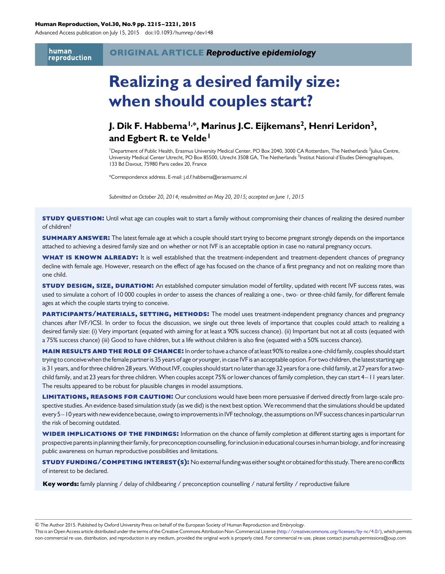#### Human Reproduction, Vol.30, No.9 pp. 2215 –2221, 2015

Advanced Access publication on July 15, 2015 doi:10.1093/humrep/dev148

human reproduction

# Realizing a desired family size: when should couples start?

### J. Dik F. Habbema<sup>l,\*</sup>, Marinus J.C. Eijkemans<sup>2</sup>, Henri Leridon<sup>3</sup>, and Egbert R. te Velde<sup>1</sup>

<sup>1</sup>Department of Public Health, Erasmus University Medical Center, PO Box 2040, 3000 CA Rotterdam, The Netherlands <sup>2</sup>Julius Centre, University Medical Center Utrecht, PO Box 85500, Utrecht 3508 GA, The Netherlands <sup>3</sup>Institut National d'Etudes Démographiques, 133 Bd Davout, 75980 Paris cedex 20, France

\*Correspondence address. E-mail: j.d.f.habbema@erasmusmc.nl

Submitted on October 20, 2014; resubmitted on May 20, 2015; accepted on June 1, 2015

**STUDY QUESTION:** Until what age can couples wait to start a family without compromising their chances of realizing the desired number of children?

**SUMMARY ANSWER:** The latest female age at which a couple should start trying to become pregnant strongly depends on the importance attached to achieving a desired family size and on whether or not IVF is an acceptable option in case no natural pregnancy occurs.

WHAT IS KNOWN ALREADY: It is well established that the treatment-independent and treatment-dependent chances of pregnancy decline with female age. However, research on the effect of age has focused on the chance of a first pregnancy and not on realizing more than one child.

**STUDY DESIGN, SIZE, DURATION:** An established computer simulation model of fertility, updated with recent IVF success rates, was used to simulate a cohort of 10 000 couples in order to assess the chances of realizing a one-, two- or three-child family, for different female ages at which the couple starts trying to conceive.

PARTICIPANTS/MATERIALS, SETTING, METHODS: The model uses treatment-independent pregnancy chances and pregnancy chances after IVF/ICSI. In order to focus the discussion, we single out three levels of importance that couples could attach to realizing a desired family size: (i) Very important (equated with aiming for at least a 90% success chance). (ii) Important but not at all costs (equated with a 75% success chance) (iii) Good to have children, but a life without children is also fine (equated with a 50% success chance).

MAIN RESULTS AND THE ROLE OF CHANCE: In order to have a chance of at least 90% to realize a one-child family, couples should start trying to conceive when the female partner is 35 years of age or younger, in case IVF is an acceptable option. For two children, the latest starting age is 31 years, and for three children 28 years. Without IVF, couples should start no later than age 32 years for a one-child family, at 27 years for a twochild family, and at 23 years for three children. When couples accept 75% or lower chances of family completion, they can start 4– 11 years later. The results appeared to be robust for plausible changes in model assumptions.

LIMITATIONS, REASONS FOR CAUTION: Our conclusions would have been more persuasive if derived directly from large-scale prospective studies. An evidence-based simulation study (as we did) is the next best option. We recommend that the simulations should be updated every 5–10 years with new evidence because, owing to improvements in IVF technology, the assumptions on IVF success chances in particular run the risk of becoming outdated.

WIDER IMPLICATIONS OF THE FINDINGS: Information on the chance of family completion at different starting ages is important for prospective parents in planning their family, for preconception counselling, for inclusion in educational courses in human biology, and for increasing public awareness on human reproductive possibilities and limitations.

study funding/competing interest(s): No external funding waseither sought or obtained for this study. There areno conflicts of interest to be declared.

Key words: family planning / delay of childbearing / preconception counselling / natural fertility / reproductive failure

& The Author 2015. Published by Oxford University Press on behalf of the European Society of Human Reproduction and Embryology.

This is an Open Access article distributed under the terms of the Creative Commons Attribution Non-Commercial License [\(http://creativecommons.org/licenses/by-nc/4.0/](http://creativecommons.org/licenses/by-nc/4.0/)), which permits non-commercial re-use, distribution, and reproduction in any medium, provided the original work is properly cited. For commercial re-use, please contact journals.permissions@oup.com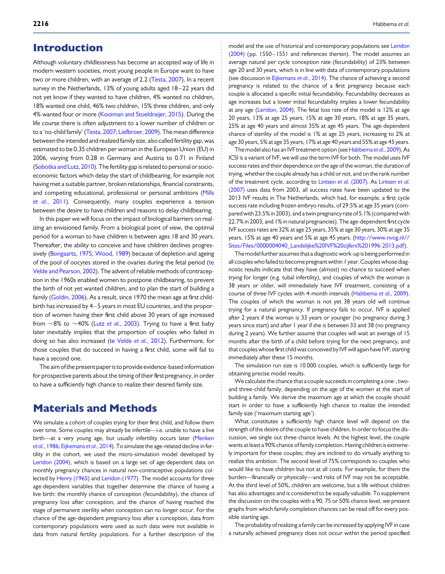### Introduction

Although voluntary childlessness has become an accepted way of life in modern western societies, most young people in Europe want to have two or more children, with an average of 2.2 [\(Testa, 2007](#page-6-0)). In a recent survey in the Netherlands, 13% of young adults aged 18-22 years did not yet know if they wanted to have children, 4% wanted no children, 18% wanted one child, 46% two children, 15% three children, and only 4% wanted four or more ([Kooiman and Stoeldraijer, 2015\)](#page-6-0). During the life course there is often adjustment to a lower number of children or to a 'no-child family' ([Testa, 2007;](#page-6-0) [Liefbroer, 2009](#page-6-0)). The mean difference between the intended and realized family size, also called fertility gap, was estimated to be 0.35 children per woman in the European Union (EU) in 2006, varying from 0.28 in Germany and Austria to 0.71 in Finland [\(Sobotka and Lutz, 2010\)](#page-6-0). The fertility gap is related to personal or socioeconomic factors which delay the start of childbearing, for example not having met a suitable partner, broken relationships, financial constraints, and competing educational, professional or personal ambitions [\(Mills](#page-6-0) et al.[, 2011\)](#page-6-0). Consequently, many couples experience a tension between the desire to have children and reasons to delay childbearing.

In this paper we will focus on the impact of biological barriers on realizing an envisioned family. From a biological point of view, the optimal period for a woman to have children is between ages 18 and 30 years. Thereafter, the ability to conceive and have children declines progressively [\(Bongaarts, 1975;](#page-5-0) [Wood, 1989\)](#page-6-0) because of depletion and ageing of the pool of oocy[te](#page-6-0)s stored in the ovaries during the fetal period (te [Velde and Pearson, 2002\)](#page-6-0). The advent of reliable methods of contraception in the 1960s enabled women to postpone childbearing, to prevent the birth of not yet wanted children, and to plan the start of building a family [\(Goldin, 2006](#page-5-0)). As a result, since 1970 the mean age at first childbirth has increased by 4-5 years in most EU countries, and the proportion of women having their first child above 30 years of age increased from  $\sim$ 8% to  $\sim$ 40% (Lutz et al.[, 2003\)](#page-6-0). Trying to have a first baby later inevitably implies that the proportion of couples who failed in doing so has also increased ([te Velde](#page-6-0) et al., 2012). Furthermore, for those couples that do succeed in having a first child, some will fail to have a second one.

The aim of the present paper is to provide evidence-based information for prospective parents about the timing of their first pregnancy, in order to have a sufficiently high chance to realize their desired family size.

### Materials and Methods

We simulate a cohort of couples trying for their first child, and follow them over time. Some couples may already be infertile—i.e. unable to have a live birth—at a very young age, but usually infertility occurs later ([Menken](#page-6-0) et al.[, 1986;](#page-6-0) [Eijkemans](#page-5-0) et al., 2014). To simulate the age-related decline in fertility in the cohort, we used the micro-simulation model developed by [Leridon \(2004\),](#page-6-0) which is based on a large set of age-dependent data on monthly pregnancy chances in natural non-contraceptive populations collected by [Henry \(1965\)](#page-6-0) and [Leridon \(1977\)](#page-6-0). The model accounts for three age-dependent variables that together determine the chance of having a live birth: the monthly chance of conception (fecundability), the chance of pregnancy loss after conception, and the chance of having reached the stage of permanent sterility when conception can no longer occur. For the chance of the age-dependent pregnancy loss after a conception, data from contemporary populations were used as such data were not available in data from natural fertility populations. For a further description of the

model and the use of historical and contemporary populations see [Leridon](#page-6-0) [\(2004\)](#page-6-0) (pp. 1550-1551 and references therein). The model assumes an average natural per cycle conception rate (fecundability) of 23% between age 20 and 30 years, which is in line with data of contemporary populations (see discussion in [Eijkemans](#page-5-0) et al., 2014). The chance of achieving a second pregnancy is related to the chance of a first pregnancy because each couple is allocated a specific initial fecundability. Fecundability decreases as age increases but a lower initial fecundability implies a lower fecundability at any age [\(Leridon, 2004\)](#page-6-0). The fetal loss rate of the model is 12% at age 20 years, 13% at age 25 years, 15% at age 30 years, 18% at age 35 years, 25% at age 40 years and almost 35% at age 45 years. The age-dependent chance of sterility of the model is 1% at age 25 years, increasing to 2% at age 30 years, 5% at age 35 years, 17% at age 40 years and 55% at age 45 years.

The model also has an IVF treatment option (see [Habbema](#page-5-0) et al., 2009). As ICSI is a variant of IVF, we will use the term IVF for both. The model uses IVF success rates and their dependence on the age of the woman, the duration of trying, whether the couple already has a child or not, and on the rank number of the treatment cycle, according to [Lintsen](#page-6-0) et al. (2007). As [Lintsen](#page-6-0) et al. [\(2007\)](#page-6-0) uses data from 2003, all success rates have been updated to the 2013 IVF results in The Netherlands, which had, for example, a first cycle success rate including frozen embryo results, of 29.5% at age 35 years (compared with 23.5% in 2003), and a twin pregnancy rate of 5.1% (compared with 22.7% in 2003, and 1% in natural pregnancies). The age-dependent first cycle IVF success rates are 32% at age 25 years, 35% at age 30 years, 30% at age 35 years, 15% at age 40 years and 5% at age 45 years. ([http://www.nvog.nl//](http://www.nvog.nl//Sites/Files/0000004040_Landelijke%20IVF%20cijfers%201996-2013.pdf) [Sites/Files/0000004040\\_Landelijke%20IVF%20cijfers%201996-2013.pdf](http://www.nvog.nl//Sites/Files/0000004040_Landelijke%20IVF%20cijfers%201996-2013.pdf)).

The model further assumes that a diagnostic work-up is being performed in all couples who failed to become pregnant within 1 year.Couples whose diagnostic results indicate that they have (almost) no chance to succeed when trying for longer (e.g. tubal infertility), and couples of which the woman is 38 years or older, will immediately have IVF treatment, consisting of a course of three IVF cycles with 4-month intervals [\(Habbema](#page-5-0) et al., 2009). The couples of which the woman is not yet 38 years old will continue trying for a natural pregnancy. If pregnancy fails to occur, IVF is applied after 2 years if the woman is 33 years or younger (no pregnancy during 3 years since start) and after 1 year if she is between 33 and 38 (no pregnancy during 2 years). We further assume that couples will wait an average of 15 months after the birth of a child before trying for the next pregnancy, and that couples whose first child was conceived by IVF will again have IVF, starting immediately after these 15 months.

The simulation run size is 10 000 couples, which is sufficiently large for obtaining precise model results.

We calculate the chance that a couple succeeds in completing a one-, twoand three-child family, depending on the age of the women at the start of building a family. We derive the maximum age at which the couple should start in order to have a sufficiently high chance to realize the intended family size ('maximum starting age').

What constitutes a sufficiently high chance level will depend on the strength of the desire of the couple to have children. In order to focus the discussion, we single out three chance levels. At the highest level, the couple wants at least a 90% chance of family completion. Having children is extremely important for these couples; they are inclined to do virtually anything to realize this ambition. The second level of 75% corresponds to couples who would like to have children but not at all costs. For example, for them the burden—financially or physically—and risks of IVF may not be acceptable. At the third level of 50%, children are welcome, but a life without children has also advantages and is considered to be equally valuable. To supplement the discussion on the couples with a 90, 75 or 50% chance level, we present graphs from which family completion chances can be read off for every possible starting age.

The probability of realizing a family can be increased by applying IVF in case a naturally achieved pregnancy does not occur within the period specified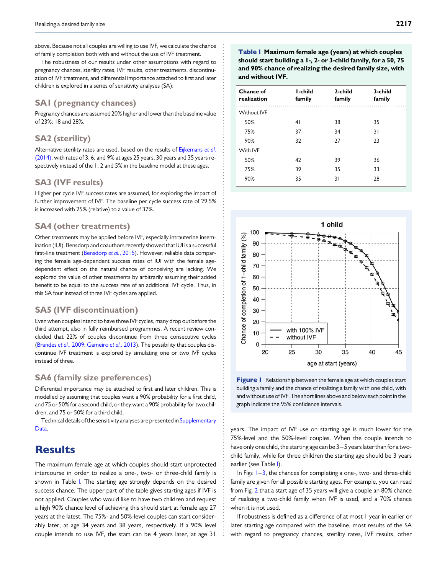<span id="page-2-0"></span>above. Because not all couples are willing to use IVF, we calculate the chance of family completion both with and without the use of IVF treatment.

The robustness of our results under other assumptions with regard to pregnancy chances, sterility rates, IVF results, other treatments, discontinuation of IVF treatment, and differential importance attached to first and later children is explored in a series of sensitivity analyses (SA):

#### SA1 (pregnancy chances)

Pregnancy chances are assumed 20% higher and lower than the baseline value of 23%: 18 and 28%.

#### SA2 (sterility)

Alternative sterility rates are used, based on the results of [Eijkemans](#page-5-0) et al. [\(2014\),](#page-5-0) with rates of 3, 6, and 9% at ages 25 years, 30 years and 35 years respectively instead of the 1, 2 and 5% in the baseline model at these ages.

#### SA3 (IVF results)

Higher per cycle IVF success rates are assumed, for exploring the impact of further improvement of IVF. The baseline per cycle success rate of 29.5% is increased with 25% (relative) to a value of 37%.

#### SA4 (other treatments)

Other treatments may be applied before IVF, especially intrauterine insemination (IUI). Bensdorp and coauthors recently showed that IUI is a successful first-line treatment [\(Bensdorp](#page-5-0) et al., 2015). However, reliable data comparing the female age-dependent success rates of IUI with the female agedependent effect on the natural chance of conceiving are lacking. We explored the value of other treatments by arbitrarily assuming their added benefit to be equal to the success rate of an additional IVF cycle. Thus, in this SA four instead of three IVF cycles are applied.

#### SA5 (IVF discontinuation)

Even when couples intend to have three IVF cycles, many drop out before the third attempt, also in fully reimbursed programmes. A recent review concluded that 22% of couples discontinue from three consecutive cycles ([Brandes](#page-5-0) et al., 2009; [Gameiro](#page-5-0) et al., 2013). The possibility that couples discontinue IVF treatment is explored by simulating one or two IVF cycles instead of three.

#### SA6 (family size preferences)

Differential importance may be attached to first and later children. This is modelled by assuming that couples want a 90% probability for a first child, and 75 or 50% for a second child, or they want a 90% probability for two children, and 75 or 50% for a third child.

Technical details of the sensitivity analyses are presented in [Supplementary](http://humrep.oxfordjournals.org/lookup/suppl/doi:10.1093/humrep/dev148/-/DC1) [Data](http://humrep.oxfordjournals.org/lookup/suppl/doi:10.1093/humrep/dev148/-/DC1).

### **Results**

The maximum female age at which couples should start unprotected intercourse in order to realize a one-, two- or three-child family is shown in Table I. The starting age strongly depends on the desired success chance. The upper part of the table gives starting ages if IVF is not applied. Couples who would like to have two children and request a high 90% chance level of achieving this should start at female age 27 years at the latest. The 75%- and 50%-level couples can start considerably later, at age 34 years and 38 years, respectively. If a 90% level couple intends to use IVF, the start can be 4 years later, at age 31

Table I Maximum female age (years) at which couples should start building a 1-, 2- or 3-child family, for a 50, 75 and 90% chance of realizing the desired family size, with and without IVF.

| Chance of<br>realization | I-child<br>family | 2-child<br>family | 3-child<br>family |  |
|--------------------------|-------------------|-------------------|-------------------|--|
| <b>Without IVF</b>       |                   |                   |                   |  |
| 50%                      | 41                | 38                | 35                |  |
| 75%                      | 37                | 34                | 31                |  |
| 90%                      | 32                | 27                | 23                |  |
| With IVF                 |                   |                   |                   |  |
| 50%                      | 42                | 39                | 36                |  |
| 75%                      | 39                | 35                | 33                |  |
| 90%                      | 35                | 31                | 28                |  |



Figure I Relationship between the female age at which couples start building a family and the chance of realizing a family with one child, with and without use of IVF. The short lines above and below each point in the graph indicate the 95% confidence intervals.

years. The impact of IVF use on starting age is much lower for the 75%-level and the 50%-level couples. When the couple intends to have only one child, the starting age can be  $3-5$  years later than for a twochild family, while for three children the starting age should be 3 years earlier (see Table I).

In Figs  $1-3$ , the chances for completing a one-, two- and three-child family are given for all possible starting ages. For example, you can read from Fig. [2](#page-3-0) that a start age of 35 years will give a couple an 80% chance of realizing a two-child family when IVF is used, and a 70% chance when it is not used.

If robustness is defined as a difference of at most 1 year in earlier or later starting age compared with the baseline, most results of the SA with regard to pregnancy chances, sterility rates, IVF results, other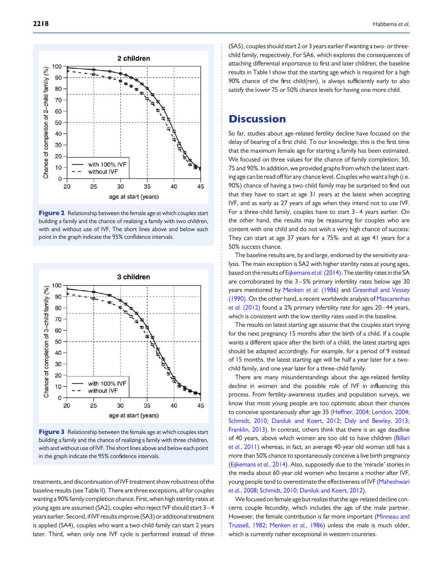<span id="page-3-0"></span>

Figure 2 Relationship between the female age at which couples start building a family and the chance of realizing a family with two children, with and without use of IVF. The short lines above and below each point in the graph indicate the 95% confidence intervals.



Figure 3 Relationship between the female age at which couples start building a family and the chance of realizing a family with three children, with and without use of IVF. The short lines above and below each point in the graph indicate the 95% confidence intervals.

treatments, and discontinuation of IVF treatment show robustness of the baseline results (see Table [II](#page-4-0)). There are three exceptions, all for couples wanting a 90% family completion chance. First, when high sterility rates at young ages are assumed (SA2), couples who reject IVF should start 3– 4 years earlier. Second, if IVF results improve (SA3) or additional treatment is applied (SA4), couples who want a two-child family can start 2 years later. Third, when only one IVF cycle is performed instead of three

(SA5), couples should start 2 or 3 years earlier if wanting a two- or threechild family, respectively. For SA6, which explores the consequences of attaching differential importance to first and later children, the baseline results in Table [I](#page-2-0) show that the starting age which is required for a high 90% chance of the first child(ren), is always sufficiently early to also satisfy the lower 75 or 50% chance levels for having one more child.

### **Discussion**

So far, studies about age-related fertility decline have focused on the delay of bearing of a first child. To our knowledge, this is the first time that the maximum female age for starting a family has been estimated. We focused on three values for the chance of family completion: 50, 75 and 90%. In addition, we provided graphs from which the latest starting age can be read off for any chance level. Couples who want a high (i.e. 90%) chance of having a two-child family may be surprised to find out that they have to start at age 31 years at the latest when accepting IVF, and as early as 27 years of age when they intend not to use IVF. For a three-child family, couples have to start 3 – 4 years earlier. On the other hand, the results may be reassuring for couples who are content with one child and do not wish a very high chance of success: They can start at age 37 years for a 75%- and at age 41 years for a 50% success chance.

The baseline results are, by and large, endorsed by the sensitivity analysis. The main exception is SA2 with higher sterility rates at young ages, based on the results of [Eijkemans](#page-5-0) et al. (2014). The sterility rates in the SA are corroborated by the  $3-5%$  primary infertility rates below age 30 years mentioned by [Menken](#page-6-0) et al. (1986) and [Greenhall and Vessey](#page-5-0) [\(1990\)](#page-5-0). On the other hand, a recent worldwide analysis of [Mascarenhas](#page-6-0) et al. [\(2012\)](#page-6-0) found a 2% primary infertility rate for ages 20–44 years, which is consistent with the low sterility rates used in the baseline.

The results on latest starting age assume that the couples start trying for the next pregnancy 15 months after the birth of a child. If a couple wants a different space after the birth of a child, the latest starting ages should be adapted accordingly. For example, for a period of 9 instead of 15 months, the latest starting age will be half a year later for a twochild family, and one year later for a three-child family.

There are many misunderstandings about the age-related fertility decline in women and the possible role of IVF in influencing this process. From fertility-awareness studies and population surveys, we know that most young people are too optimistic about their chances to conceive spontaneously after age 35 [\(Heffner, 2004;](#page-5-0) [Leridon, 2004;](#page-6-0) [Schmidt, 2010;](#page-6-0) [Daniluk and Koert, 2012;](#page-5-0) [Daly and Bewley, 2013;](#page-5-0) [Franklin, 2013](#page-5-0)). In contrast, others think that there is an age deadline of 40 years, above which women are too old to have children ([Billari](#page-5-0) et al.[, 2011](#page-5-0)) whereas, in fact, an average 40-year old woman still has a more than 50% chance to spontaneously conceive a live birth pregnancy ([Eijkemans](#page-5-0) et al., 2014). Also, supposedly due to the 'miracle' stories in the media about 60-year old women who became a mother after IVF, young people tend to overestimate the effectiveness of IVF [\(Maheshwari](#page-6-0) et al.[, 2008](#page-6-0); [Schmidt, 2010](#page-6-0); [Daniluk and Koert, 2012](#page-5-0)).

We focused on female age but realize that the age-related decline concerns couple fecundity, which includes the age of the male partner. However, the female contribution is far more important ([Minneau and](#page-6-0) [Trussell, 1982;](#page-6-0) [Menken](#page-6-0) et al., 1986) unless the male is much older, which is currently rather exceptional in western countries.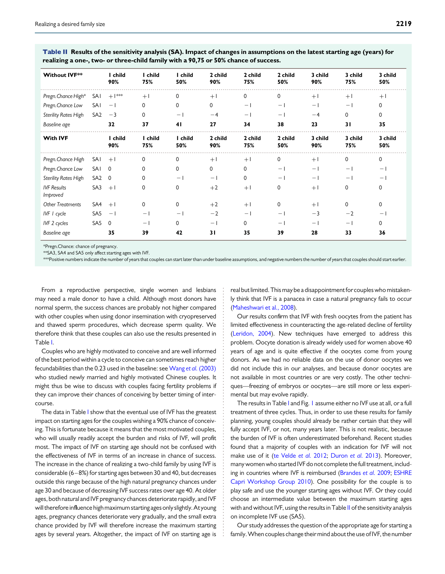| <b>Without IVF**</b>           |                 | I child<br>90% | I child<br>75%           | I child<br>50% | 2 child<br>90% | 2 child<br>75% | 2 child<br>50% | 3 child<br>90% | 3 child<br>75%    | 3 child<br>50%    |
|--------------------------------|-----------------|----------------|--------------------------|----------------|----------------|----------------|----------------|----------------|-------------------|-------------------|
| Pregn. Chance High*            | SAI             | $+1***$        | $+1$                     | 0              | $+1$           | 0              | 0              | $+1$           | $+1$              | $+1$              |
| Pregn. Chance Low              | SAI             | $-1$           | 0                        | $\mathbf{0}$   | $\Omega$       | $-1$           | $-1$           | $-1$           | $-1$              | $\mathbf{0}$      |
| <b>Sterility Rates High</b>    | SA <sub>2</sub> | $-3$           | 0                        | $-1$           | $-4$           | $-1$           | $-1$           | $-4$           | $\mathbf{0}$      | $\mathbf{0}$      |
| Baseline age                   |                 | 32             | 37                       | 41             | 27             | 34             | 38             | 23             | 31                | 35                |
| <b>With IVF</b>                |                 | I child<br>90% | I child<br>75%           | I child<br>50% | 2 child<br>90% | 2 child<br>75% | 2 child<br>50% | 3 child<br>90% | 3 child<br>75%    | 3 child<br>50%    |
| Pregn. Chance High             | $SAI + I$       |                | 0                        | 0              | $+1$           | $+1$           | 0              | $+1$           | $\mathbf 0$       | $\mathbf 0$       |
| Pregn. Chance Low              | SAI 0           |                | 0                        | $\Omega$       | 0              | $\mathbf{0}$   | - 1            | $-1$           | $\qquad \qquad -$ | $\qquad \qquad -$ |
| <b>Sterility Rates High</b>    | S A2 0          |                | $\Omega$                 | $-1$           | $-1$           | $\Omega$       | $-1$           | $-1$           | $-1$              | $-1$              |
| <b>IVF Results</b><br>Improved | SA3             | $+1$           | 0                        | $\Omega$       | $+2$           | $+1$           | 0              | $+1$           | $\mathbf 0$       | $\Omega$          |
| <b>Other Treatments</b>        | $SA4 + I$       |                | 0                        | $\Omega$       | $+2$           | $+1$           | 0              | $+1$           | $\Omega$          | $\Omega$          |
| IVF I cycle                    | SA5             | $-1$           | $\overline{\phantom{0}}$ | $-$            | $-2$           | $-1$           | - 1            | $-3$           | $-2$              |                   |
| IVF 2 cycles                   | SA5 0           |                |                          | 0              | - 1            | $\mathbf{0}$   | $-1$           | - 1            | $\qquad \qquad -$ | 0                 |

<span id="page-4-0"></span>Table II Results of the sensitivity analysis (SA). Impact of changes in assumptions on the latest starting age (years) for realizing a one-, two- or three-child family with a 90,75 or 50% chance of success.

\*Pregn.Chance: chance of pregnancy.

\*\*SA3, SA4 and SA5 only affect starting ages with IVF.

\*\*\*Positive numbers indicate the number of years that couples can start later than under baseline assumptions, and negative numbers the number of years that couples should start earlier.

Baseline age 35 39 42 31 35 39 28 33 36

From a reproductive perspective, single women and lesbians may need a male donor to have a child. Although most donors have normal sperm, the success chances are probably not higher compared with other couples when using donor insemination with cryopreserved and thawed sperm procedures, which decrease sperm quality. We therefore think that these couples can also use the results presented in Table [I](#page-2-0).

Couples who are highly motivated to conceive and are well informed of the best period within a cycle to conceive can sometimes reach higher fecundabilities than the 0.23 used in the baseline: see Wang et al. [\(2003\)](#page-6-0) who studied newly married and highly motivated Chinese couples. It might thus be wise to discuss with couples facing fertility problems if they can improve their chances of conceiving by better timing of intercourse.

The data in Table [I](#page-2-0) show that the eventual use of IVF has the greatest impact on starting ages for the couples wishing a 90% chance of conceiving. This is fortunate because it means that the most motivated couples, who will usually readily accept the burden and risks of IVF, will profit most. The impact of IVF on starting age should not be confused with the effectiveness of IVF in terms of an increase in chance of success. The increase in the chance of realizing a two-child family by using IVF is considerable (6 –8%) for starting ages between 30 and 40, but decreases outside this range because of the high natural pregnancy chances under age 30 and because of decreasing IVF success rates over age 40. At older ages, both natural and IVF pregnancy chances deteriorate rapidly, and IVF will therefore influence high maximum starting ages only slightly.At young ages, pregnancy chances deteriorate very gradually, and the small extra chance provided by IVF will therefore increase the maximum starting ages by several years. Altogether, the impact of IVF on starting age is

real but limited. This may be a disappointment for couples who mistakenly think that IVF is a panacea in case a natural pregnancy fails to occur [\(Maheshwari et al](#page-6-0)., 2008).

Our results confirm that IVF with fresh oocytes from the patient has limited effectiveness in counteracting the age-related decline of fertility [\(Leridon, 2004](#page-6-0)). New techniques have emerged to address this problem. Oocyte donation is already widely used for women above 40 years of age and is quite effective if the oocytes come from young donors. As we had no reliable data on the use of donor oocytes we did not include this in our analyses, and because donor oocytes are not available in most countries or are very costly. The other techniques—freezing of embryos or oocytes—are still more or less experimental but may evolve rapidly.

The results in Table [I](#page-2-0) and Fig. [1](#page-2-0) assume either no IVF use at all, or a full treatment of three cycles. Thus, in order to use these results for family planning, young couples should already be rather certain that they will fully accept IVF, or not, many years later. This is not realistic, because the burden of IVF is often underestimated beforehand. Recent studies found that a majority of couples with an indication for IVF will not make use of it ([te Velde](#page-6-0) et al. 2012; [Duron](#page-5-0) et al. 2013). Moreover, many women who started IVF do not complete the full treatment, includ-ing in countries where IVF is reimbursed [\(Brandes](#page-5-0) et al. 2009; [ESHRE](#page-5-0) [Capri Workshop Group 2010\)](#page-5-0). One possibility for the couple is to play safe and use the younger starting ages without IVF. Or they could choose an intermediate value between the maximum starting ages with and without IVF, using the results in Table II of the sensitivity analysis on incomplete IVF use (SA5).

Our study addresses the question of the appropriate age for starting a family.When couples change their mind about the use of IVF, the number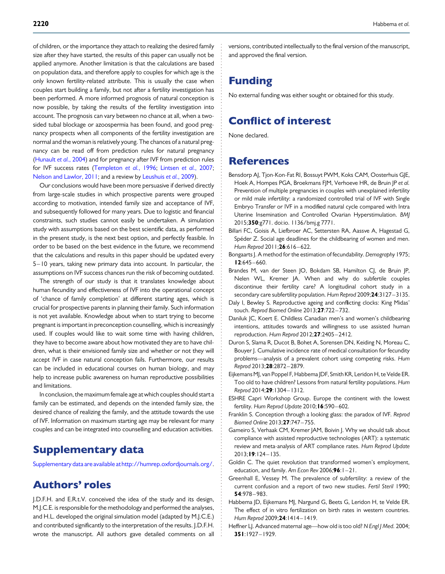<span id="page-5-0"></span>of children, or the importance they attach to realizing the desired family size after they have started, the results of this paper can usually not be applied anymore. Another limitation is that the calculations are based on population data, and therefore apply to couples for which age is the only known fertility-related attribute. This is usually the case when couples start building a family, but not after a fertility investigation has been performed. A more informed prognosis of natural conception is now possible, by taking the results of the fertility investigation into account. The prognosis can vary between no chance at all, when a twosided tubal blockage or azoospermia has been found, and good pregnancy prospects when all components of the fertility investigation are normal and the woman is relatively young. The chances of a natural pregnancy can be read off from prediction rules for natural pregnancy [\(Hunault](#page-6-0) et al., 2004) and for pregnancy after IVF from prediction rules for IVF success rates [\(Templeton](#page-6-0) et al., 1996; [Lintsen](#page-6-0) et al., 2007; [Nelson and Lawlor, 2011;](#page-6-0) and a review by [Leushuis](#page-6-0) et al., 2009).

Our conclusions would have been more persuasive if derived directly from large-scale studies in which prospective parents were grouped according to motivation, intended family size and acceptance of IVF, and subsequently followed for many years. Due to logistic and financial constraints, such studies cannot easily be undertaken. A simulation study with assumptions based on the best scientific data, as performed in the present study, is the next best option, and perfectly feasible. In order to be based on the best evidence in the future, we recommend that the calculations and results in this paper should be updated every 5–10 years, taking new primary data into account. In particular, the assumptions on IVF success chances run the risk of becoming outdated.

The strength of our study is that it translates knowledge about human fecundity and effectiveness of IVF into the operational concept of 'chance of family completion' at different starting ages, which is crucial for prospective parents in planning their family. Such information is not yet available. Knowledge about when to start trying to become pregnant is important in preconception counselling, which is increasingly used. If couples would like to wait some time with having children, they have to become aware about how motivated they are to have children, what is their envisioned family size and whether or not they will accept IVF in case natural conception fails. Furthermore, our results can be included in educational courses on human biology, and may help to increase public awareness on human reproductive possibilities and limitations.

In conclusion, the maximum female age at which couples should start a family can be estimated, and depends on the intended family size, the desired chance of realizing the family, and the attitude towards the use of IVF. Information on maximum starting age may be relevant for many couples and can be integrated into counselling and education activities.

### Supplementary data

[Supplementary data are available athttp://humrep.oxfordjournals.org/.](http://humrep.oxfordjournals.org/lookup/suppl/doi:10.1093/humrep/dev148/-/DC1)

### Authors' roles

J.D.F.H. and E.R.t.V. conceived the idea of the study and its design, M.J.C.E. is responsible for the methodology and performed the analyses, and H.L. developed the original simulation model (adapted by M.J.C.E.) and contributed significantly to the interpretation of the results. J.D.F.H. wrote the manuscript. All authors gave detailed comments on all versions, contributed intellectually to the final version of the manuscript, and approved the final version.

## Funding

No external funding was either sought or obtained for this study.

### Conflict of interest

None declared.

### References

- Bensdorp AJ, Tjon-Kon-Fat RI, Bossuyt PWM, Koks CAM, Oosterhuis GJE, Hoek A, Hompes PGA, Broekmans FJM, Verhoeve HR, de Bruin JP et al. Prevention of multiple pregnancies in couples with unexplained infertility or mild male infertility: a randomized controlled trial of IVF with Single Embryo Transfer or IVF in a modified natural cycle compared with Intra Uterine Insemination and Controlled Ovarian Hyperstimulation. BMJ 2015;350:g771. doi:io. 1136/bmj.g 7771.
- Billari FC, Goisis A, Liefbroer AC, Settersten RA, Aassve A, Hagestad G, Spéder Z. Social age deadlines for the childbearing of women and men. Hum Reprod 2011; 26:616-622.
- Bongaarts J. A method for the estimation of fecundability. Demography 1975;  $12:645 - 660.$
- Brandes M, van der Steen JO, Bokdam SB, Hamilton CJ, de Bruin JP, Nelen WL, Kremer JA. When and why do subfertile couples discontinue their fertility care? A longitudinal cohort study in a secondary care subfertility population. Hum Reprod 2009;24:3127-3135.
- Daly I, Bewley S. Reproductive ageing and conflicting clocks: King Midas' touch. Reprod Biomed Online 2013;27:722 – 732.
- Daniluk JC, Koert E. Childless Canadian men's and women's childbearing intentions, attitudes towards and willingness to use assisted human reproduction. Hum Reprod 2012;27:2405 – 2412.
- Duron S, Slama R, Ducot B, Bohet A, Sorensen DN, Keiding N, Moreau C, Bouyer J. Cumulative incidence rate of medical consultation for fecundity problems—analysis of a prevalent cohort using competing risks. Hum Reprod 2013;28:2872 – 2879.
- Eijkemans MJ, van Poppel F, Habbema JDF, Smith KR, Leridon H, te Velde ER. Too old to have children? Lessons from natural fertility populations. Hum Reprod 2014;29:1304 – 1312.
- ESHRE Capri Workshop Group. Europe the continent with the lowest fertility. Hum Reprod Update 2010; 16:590-602.
- Franklin S. Conception through a looking glass: the paradox of IVF. Reprod Biomed Online 2013;27:747 – 755.
- Gameiro S, Verhaak CM, Kremer JAM, Boivin J. Why we should talk about compliance with assisted reproductive technologies (ART): a systematic review and meta-analysis of ART compliance rates. Hum Reprod Update 2013;19:124 – 135.
- Goldin C. The quiet revolution that transformed women's employment, education, and family. Am Econ Rev 2006;96:1-21.
- Greenhall E, Vessey M. The prevalence of subfertility: a review of the current confusion and a report of two new studies. Fertil Steril 1990; 54:978 – 983.
- Habbema JD, Eijkemans MJ, Nargund G, Beets G, Leridon H, te Velde ER. The effect of in vitro fertilization on birth rates in western countries. Hum Reprod 2009;24:1414-1419.
- Heffner LJ. Advanced maternal age—how old is too old? N Engl J Med. 2004; 351:1927– 1929.